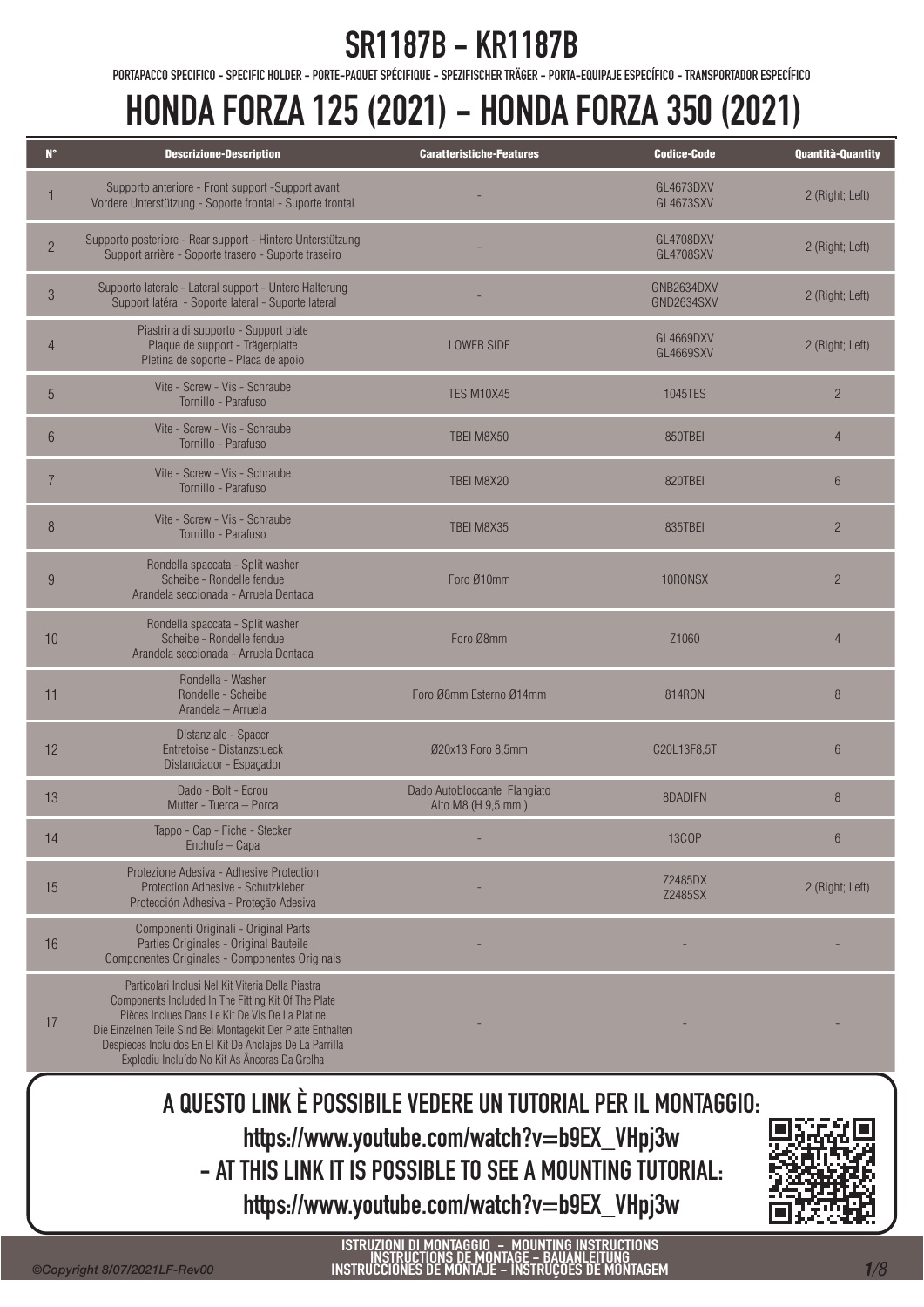PORTAPACCO SPECIFICO - SPECIFIC HOLDER - PORTE-PAQUET SPÉCIFIQUE - SPEZIFISCHER TRÄGER - PORTA-EQUIPAJE ESPECÍFICO - TRANSPORTADOR ESPECÍFICO

# HONDA FORZA 125 (2021) - HONDA FORZA 350 (2021)

| $N^{\circ}$    | <b>Descrizione-Description</b>                                                                                                                                                                                                                                                                                                           | <b>Caratteristiche-Features</b>                    | <b>Codice-Code</b>            | <b>Quantità-Quantity</b> |
|----------------|------------------------------------------------------------------------------------------------------------------------------------------------------------------------------------------------------------------------------------------------------------------------------------------------------------------------------------------|----------------------------------------------------|-------------------------------|--------------------------|
|                | Supporto anteriore - Front support -Support avant<br>Vordere Unterstützung - Soporte frontal - Suporte frontal                                                                                                                                                                                                                           |                                                    | GL4673DXV<br>GL4673SXV        | 2 (Right; Left)          |
| $\overline{2}$ | Supporto posteriore - Rear support - Hintere Unterstützung<br>Support arrière - Soporte trasero - Suporte traseiro                                                                                                                                                                                                                       |                                                    | GL4708DXV<br><b>GL4708SXV</b> | 2 (Right; Left)          |
| $\mathfrak{S}$ | Supporto laterale - Lateral support - Untere Halterung<br>Support latéral - Soporte lateral - Suporte lateral                                                                                                                                                                                                                            |                                                    | GNB2634DXV<br>GND2634SXV      | 2 (Right; Left)          |
|                | Piastrina di supporto - Support plate<br>Plaque de support - Trägerplatte<br>Pletina de soporte - Placa de apoio                                                                                                                                                                                                                         | <b>LOWER SIDE</b>                                  | GL4669DXV<br><b>GL4669SXV</b> | 2 (Right; Left)          |
| 5              | Vite - Screw - Vis - Schraube<br>Tornillo - Parafuso                                                                                                                                                                                                                                                                                     | <b>TES M10X45</b>                                  | 1045TES                       | $\overline{2}$           |
| 6              | Vite - Screw - Vis - Schraube<br>Tornillo - Parafuso                                                                                                                                                                                                                                                                                     | TBEI M8X50                                         | 850TBEI                       | $\overline{4}$           |
| $\overline{7}$ | Vite - Screw - Vis - Schraube<br>Tornillo - Parafuso                                                                                                                                                                                                                                                                                     | TBEI M8X20                                         | 820TBEI                       | $6\phantom{1}$           |
| $\,8\,$        | Vite - Screw - Vis - Schraube<br>Tornillo - Parafuso                                                                                                                                                                                                                                                                                     | TBEI M8X35                                         | 835TBEI                       | $\overline{2}$           |
| 9              | Rondella spaccata - Split washer<br>Scheibe - Rondelle fendue<br>Arandela seccionada - Arruela Dentada                                                                                                                                                                                                                                   | Foro Ø10mm                                         | 10RONSX                       | $\overline{2}$           |
| 10             | Rondella spaccata - Split washer<br>Scheibe - Rondelle fendue<br>Arandela seccionada - Arruela Dentada                                                                                                                                                                                                                                   | Foro Ø8mm                                          | Z1060                         | $\overline{4}$           |
| 11             | Rondella - Washer<br>Rondelle - Scheibe<br>Arandela - Arruela                                                                                                                                                                                                                                                                            | Foro Ø8mm Esterno Ø14mm                            | 814RON                        | 8                        |
| 12             | Distanziale - Spacer<br>Entretoise - Distanzstueck<br>Distanciador - Espaçador                                                                                                                                                                                                                                                           | Ø20x13 Foro 8,5mm                                  | C20L13F8,5T                   | $6\phantom{1}$           |
| 13             | Dado - Bolt - Fcrou<br>Mutter - Tuerca - Porca                                                                                                                                                                                                                                                                                           | Dado Autobloccante Flangiato<br>Alto M8 (H 9,5 mm) | 8DADIEN                       | 8                        |
| 14             | Tappo - Cap - Fiche - Stecker<br>Enchufe - Capa                                                                                                                                                                                                                                                                                          |                                                    | <b>13COP</b>                  | $6\phantom{1}$           |
| 15             | Protezione Adesiva - Adhesive Protection<br>Protection Adhesive - Schutzkleber<br>Protección Adhesiva - Proteção Adesiva                                                                                                                                                                                                                 |                                                    | Z2485DX<br>Z2485SX            | 2 (Right; Left)          |
| 16             | Componenti Originali - Original Parts<br>Parties Originales - Original Bauteile<br>Componentes Originales - Componentes Originais                                                                                                                                                                                                        |                                                    |                               |                          |
| 17             | Particolari Inclusi Nel Kit Viteria Della Piastra<br>Components Included In The Fitting Kit Of The Plate<br>Pièces Inclues Dans Le Kit De Vis De La Platine<br>Die Einzelnen Teile Sind Bei Montagekit Der Platte Enthalten<br>Despieces Incluidos En El Kit De Anclajes De La Parrilla<br>Explodiu Incluído No Kit As Âncoras Da Grelha |                                                    |                               |                          |

A QUESTO LINK È POSSIBILE VEDERE UN TUTORIAL PER IL MONTAGGIO: https://www.youtube.com/watch?v=b9EX\_VHpj3w - AT THIS LINK IT IS POSSIBLE TO SEE A MOUNTING TUTORIAL: https://www.youtube.com/watch?v=b9EX\_VHpj3w



7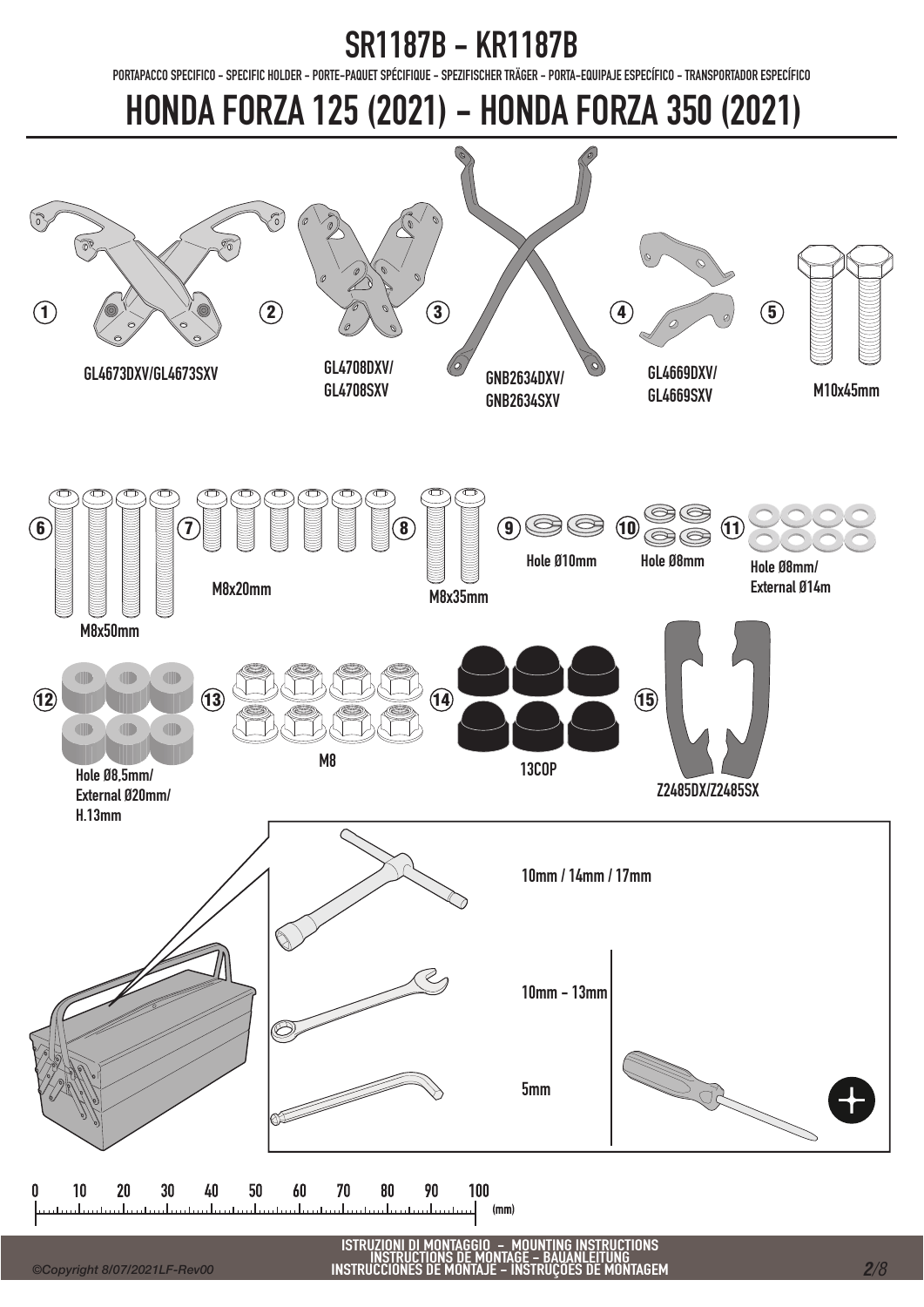PORTAPACCO SPECIFICO - SPECIFIC HOLDER - PORTE-PAQUET SPÉCIFIQUE - SPEZIFISCHER TRÄGER - PORTA-EQUIPAJE ESPECÍFICO - TRANSPORTADOR ESPECÍFICO

# HONDA FORZA 125 (2021) - HONDA FORZA 350 (2021)



*2/8*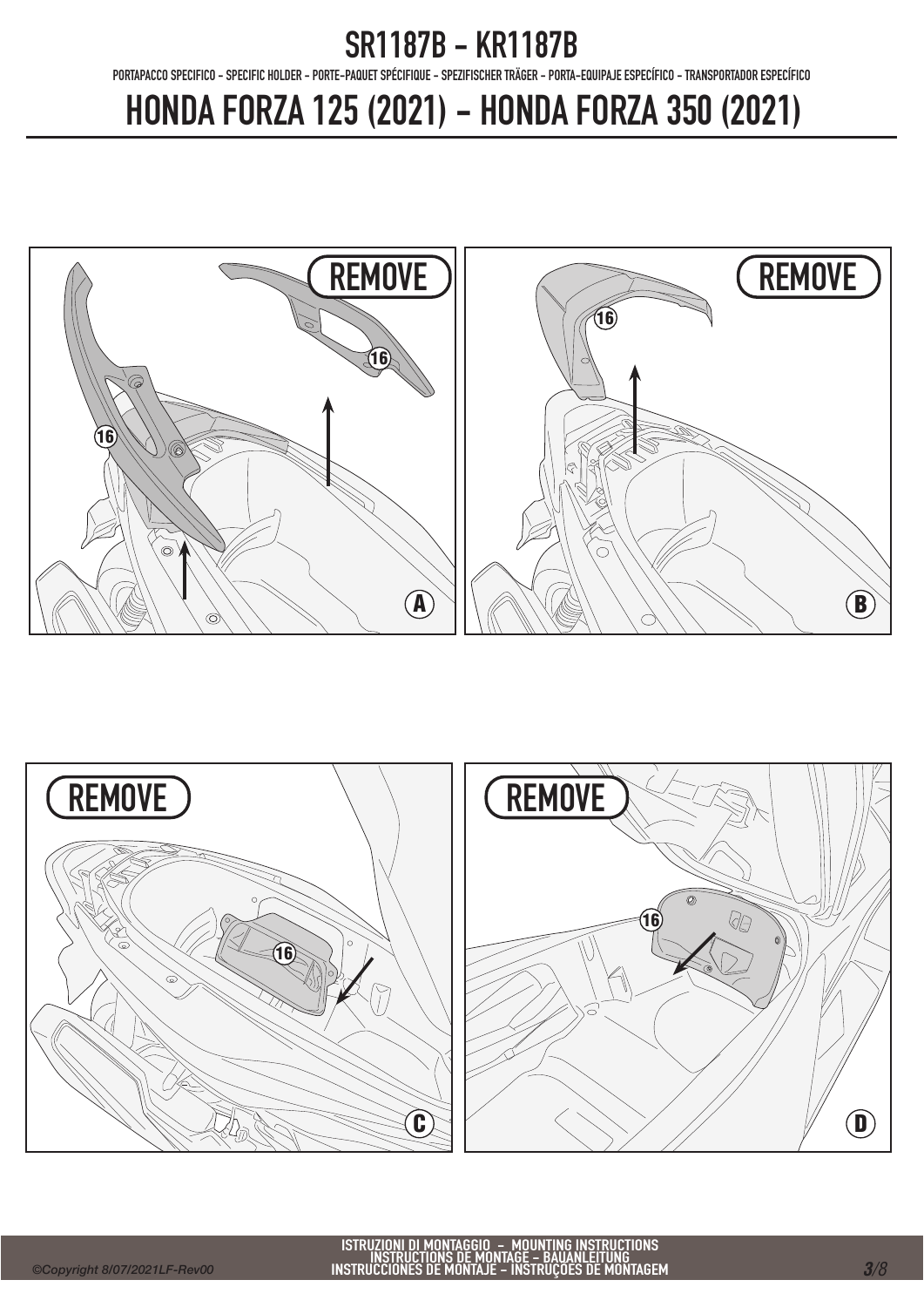PORTAPACCO SPECIFICO - SPECIFIC HOLDER - PORTE-PAQUET SPÉCIFIQUE - SPEZIFISCHER TRÄGER - PORTA-EQUIPAJE ESPECÍFICO - TRANSPORTADOR ESPECÍFICO

# HONDA FORZA 125 (2021) - HONDA FORZA 350 (2021)





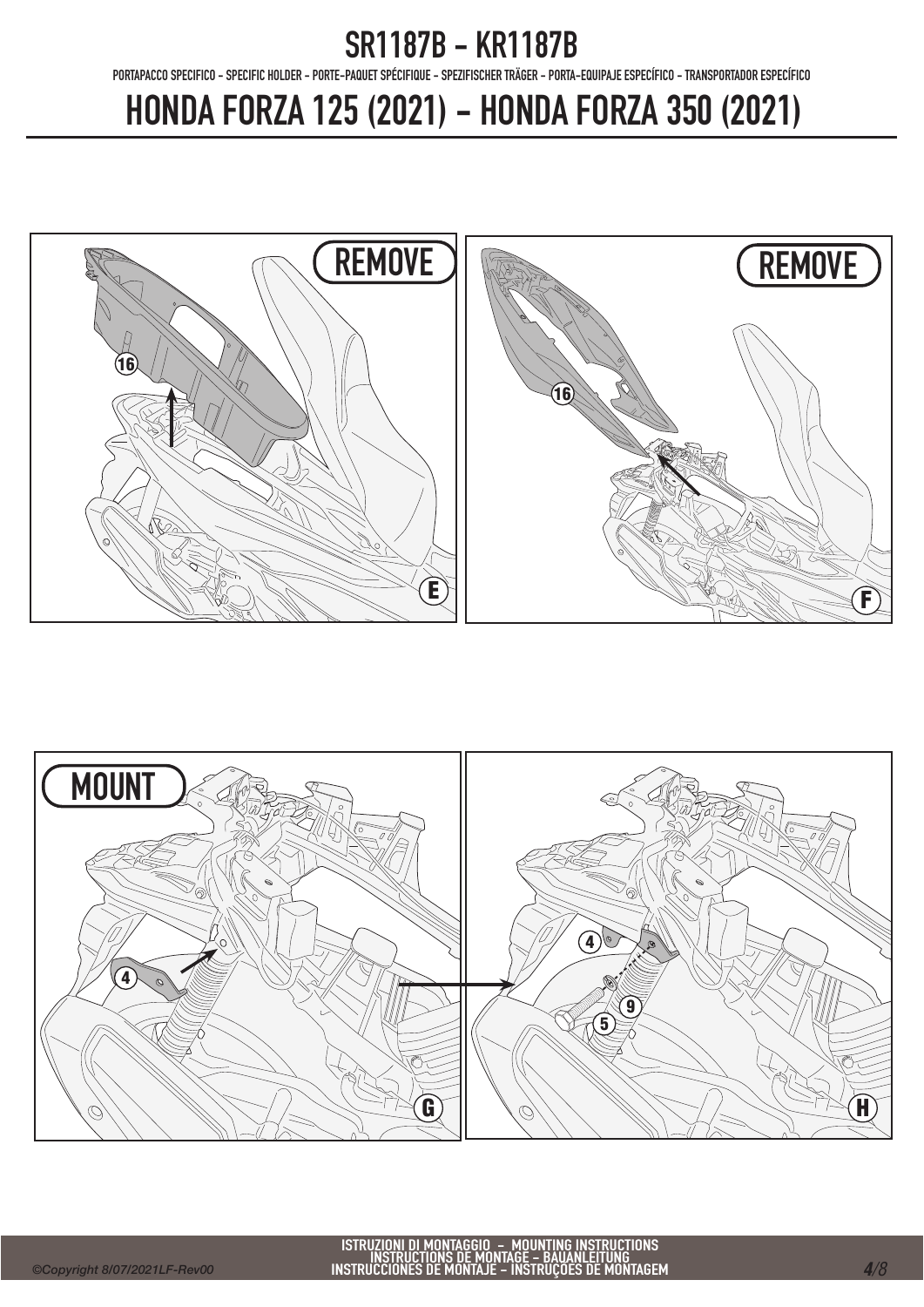PORTAPACCO SPECIFICO - SPECIFIC HOLDER - PORTE-PAQUET SPÉCIFIQUE - SPEZIFISCHER TRÄGER - PORTA-EQUIPAJE ESPECÍFICO - TRANSPORTADOR ESPECÍFICO

# HONDA FORZA 125 (2021) - HONDA FORZA 350 (2021)





ISTRUZIONI DI MONTAGGIO – MOUNTING INSTRUCTIONS<br>INSTRUCTIONS DE MONTAGE – BAUANLEITUNG<br>INSTRUCCIONES DE MONTAJE – INSTRUÇÕES DE MONTAGEM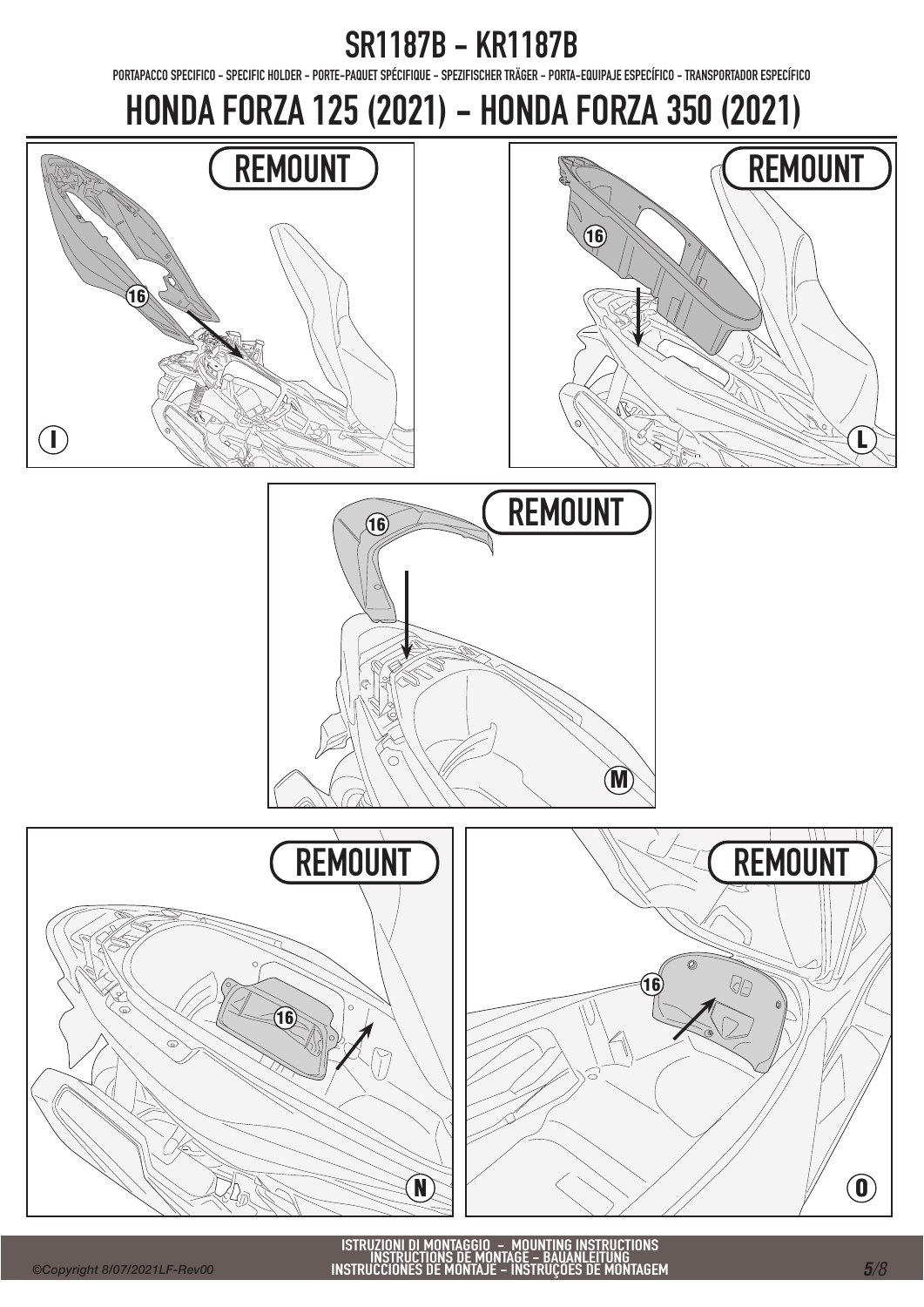PORTAPACCO SPECIFICO - SPECIFIC HOLDER - PORTE-PAQUET SPÉCIFIQUE - SPEZIFISCHER TRÄGER - PORTA-EQUIPAJE ESPECÍFICO - TRANSPORTADOR ESPECÍFICO

HONDA FORZA 125 (2021) - HONDA FORZA 350 (2021)









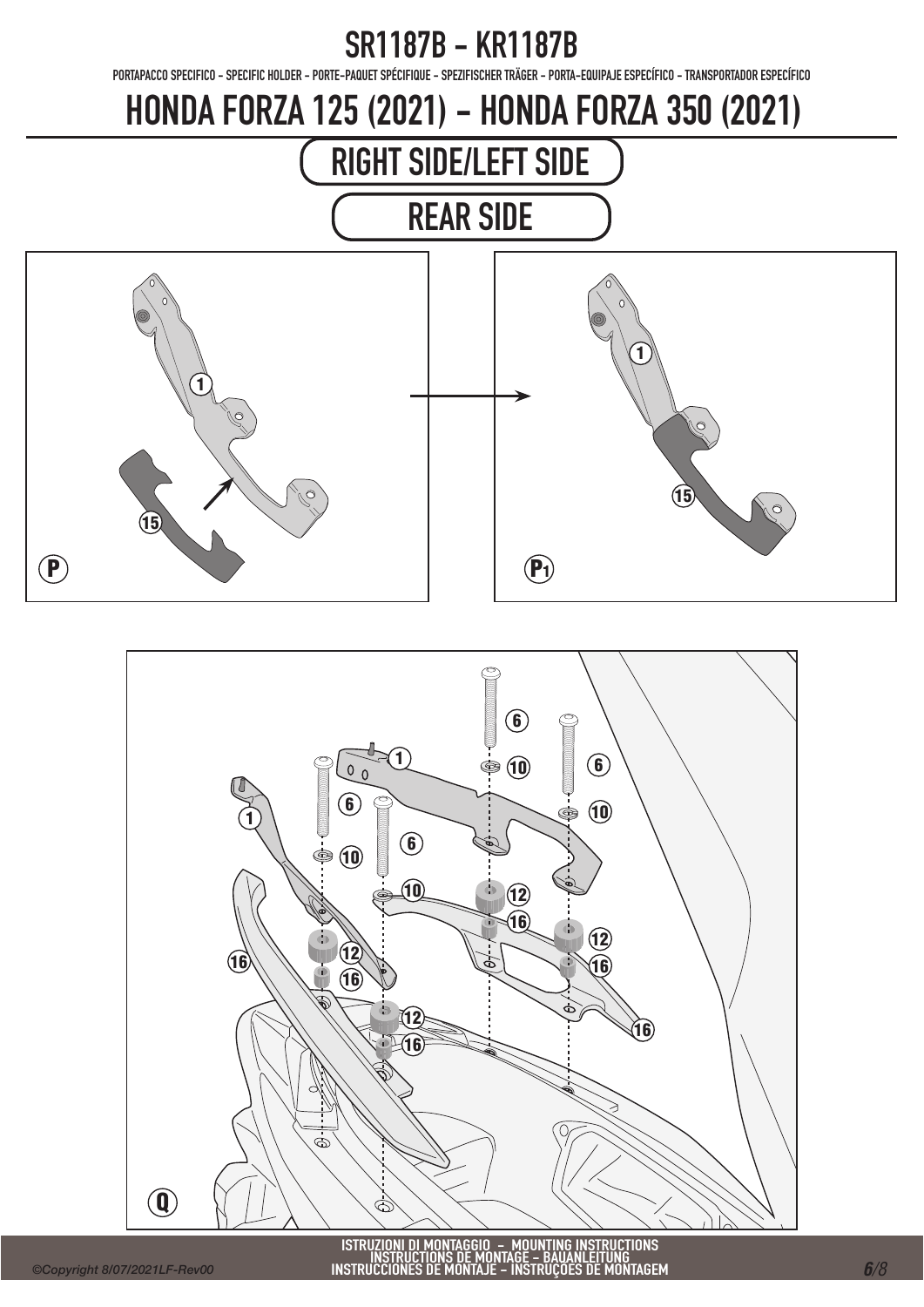PORTAPACCO SPECIFICO - SPECIFIC HOLDER - PORTE-PAQUET SPÉCIFIQUE - SPEZIFISCHER TRÄGER - PORTA-EQUIPAJE ESPECÍFICO - TRANSPORTADOR ESPECÍFICO

## HONDA FORZA 125 (2021) - HONDA FORZA 350 (2021)



REAR SIDE





ISTRUZIONI DI MONTAGGIO – MOUNTING INSTRUCTIONS<br>INSTRUCTIONS DE MONTAGE – BAUANLEITUNG<br>INSTRUCCIONES DE MONTAJE – INSTRUÇÕES DE MONTAGEM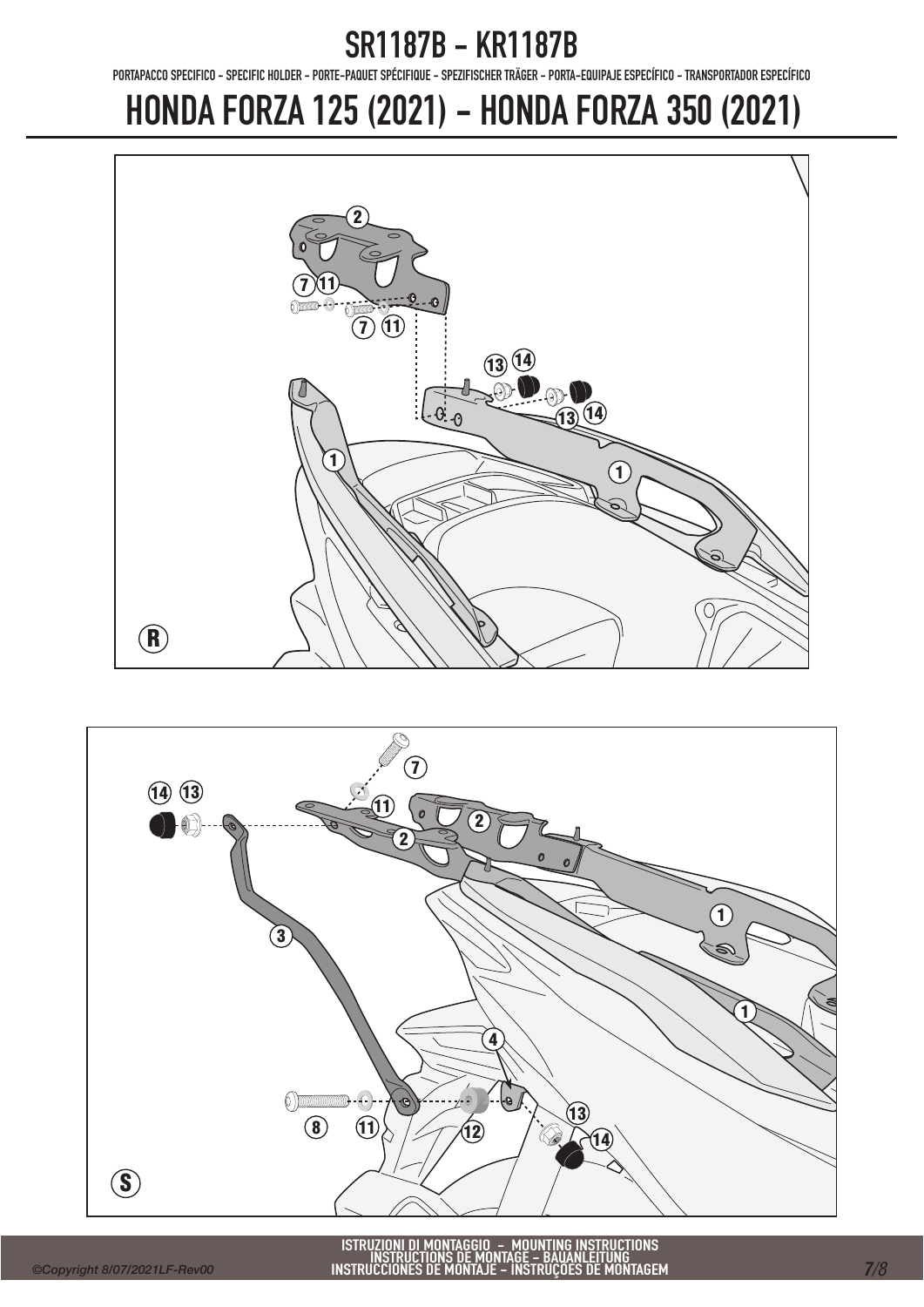PORTAPACCO SPECIFICO - SPECIFIC HOLDER - PORTE-PAQUET SPÉCIFIQUE - SPEZIFISCHER TRÄGER - PORTA-EQUIPAJE ESPECÍFICO - TRANSPORTADOR ESPECÍFICO

### HONDA FORZA 125 (2021) - HONDA FORZA 350 (2021)





ISTRUZIONI DI MONTAGGIO – MOUNTING INSTRUCTIONS<br>INSTRUCTIONS DE MONTAGE – BAUANLEITUNG<br>INSTRUCCIONES DE MONTAJE – INSTRUÇÕES DE MONTAGEM